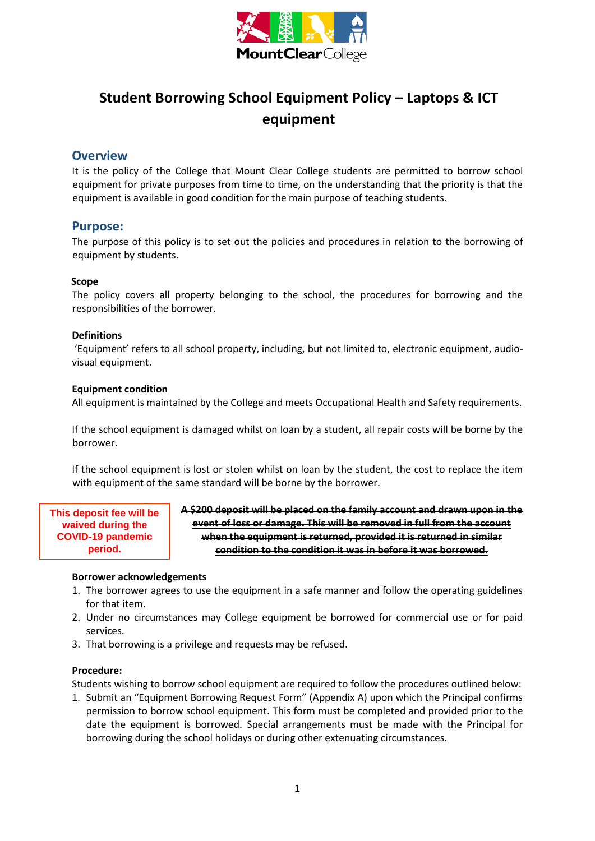

# **Student Borrowing School Equipment Policy – Laptops & ICT equipment**

## **Overview**

It is the policy of the College that Mount Clear College students are permitted to borrow school equipment for private purposes from time to time, on the understanding that the priority is that the equipment is available in good condition for the main purpose of teaching students.

### **Purpose:**

The purpose of this policy is to set out the policies and procedures in relation to the borrowing of equipment by students.

#### **Scope**

The policy covers all property belonging to the school, the procedures for borrowing and the responsibilities of the borrower.

#### **Definitions**

'Equipment' refers to all school property, including, but not limited to, electronic equipment, audiovisual equipment.

#### **Equipment condition**

All equipment is maintained by the College and meets Occupational Health and Safety requirements.

If the school equipment is damaged whilst on loan by a student, all repair costs will be borne by the borrower.

If the school equipment is lost or stolen whilst on loan by the student, the cost to replace the item with equipment of the same standard will be borne by the borrower.

**This deposit fee will be waived during the COVID-19 pandemic period.**

**A \$200 deposit will be placed on the family account and drawn upon in the event of loss or damage. This will be removed in full from the account when the equipment is returned, provided it is returned in similar condition to the condition it was in before it was borrowed.**

#### **Borrower acknowledgements**

- 1. The borrower agrees to use the equipment in a safe manner and follow the operating guidelines for that item.
- 2. Under no circumstances may College equipment be borrowed for commercial use or for paid services.
- 3. That borrowing is a privilege and requests may be refused.

#### **Procedure:**

Students wishing to borrow school equipment are required to follow the procedures outlined below:

1. Submit an "Equipment Borrowing Request Form" (Appendix A) upon which the Principal confirms permission to borrow school equipment. This form must be completed and provided prior to the date the equipment is borrowed. Special arrangements must be made with the Principal for borrowing during the school holidays or during other extenuating circumstances.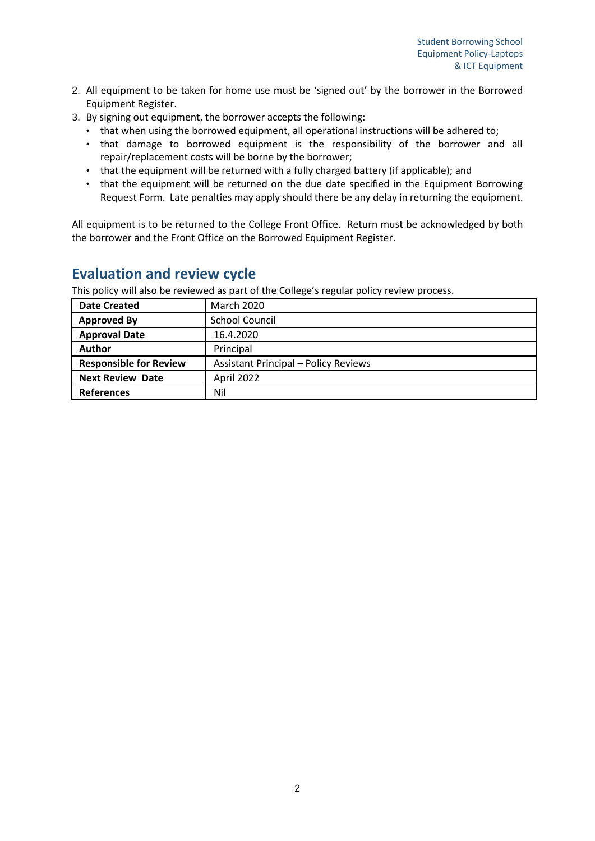- 2. All equipment to be taken for home use must be 'signed out' by the borrower in the Borrowed Equipment Register.
- 3. By signing out equipment, the borrower accepts the following:
	- that when using the borrowed equipment, all operational instructions will be adhered to;
	- that damage to borrowed equipment is the responsibility of the borrower and all repair/replacement costs will be borne by the borrower;
	- that the equipment will be returned with a fully charged battery (if applicable); and
	- that the equipment will be returned on the due date specified in the Equipment Borrowing Request Form. Late penalties may apply should there be any delay in returning the equipment.

All equipment is to be returned to the College Front Office. Return must be acknowledged by both the borrower and the Front Office on the Borrowed Equipment Register.

# **Evaluation and review cycle**

This policy will also be reviewed as part of the College's regular policy review process.

| <b>Date Created</b>           | <b>March 2020</b>                           |
|-------------------------------|---------------------------------------------|
| <b>Approved By</b>            | <b>School Council</b>                       |
| <b>Approval Date</b>          | 16.4.2020                                   |
| <b>Author</b>                 | Principal                                   |
| <b>Responsible for Review</b> | <b>Assistant Principal - Policy Reviews</b> |
| <b>Next Review Date</b>       | April 2022                                  |
| <b>References</b>             | Nil                                         |